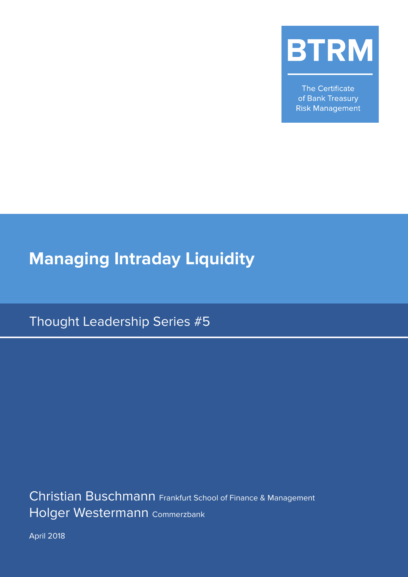

The Certificate of Bank Treasury **Risk Management** 

# **Managing Intraday Liquidity**

Thought Leadership Series #5

Christian Buschmann Frankfurt School of Finance & Management Holger Westermann Commerzbank

April 2018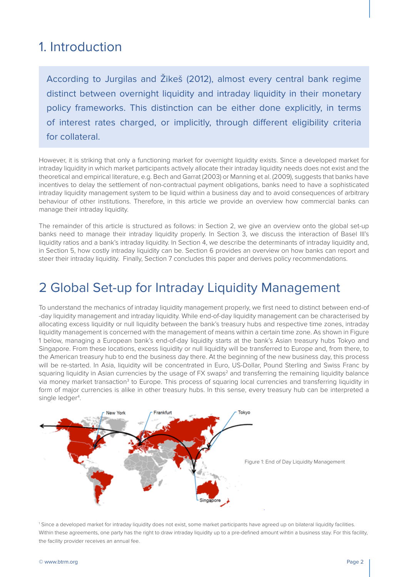#### 1. Introduction

According to Jurgilas and Žikeš (2012), almost every central bank regime distinct between overnight liquidity and intraday liquidity in their monetary policy frameworks. This distinction can be either done explicitly, in terms of interest rates charged, or implicitly, through different eligibility criteria for collateral.

However, it is striking that only a functioning market for overnight liquidity exists. Since a developed market for intraday liquidity in which market participants actively allocate their intraday liquidity needs does not exist and the theoretical and empirical literature, e.g. Bech and Garrat (2003) or Manning et al. (2009), suggests that banks have incentives to delay the settlement of non-contractual payment obligations, banks need to have a sophisticated intraday liquidity management system to be liquid within a business day and to avoid consequences of arbitrary behaviour of other institutions. Therefore, in this article we provide an overview how commercial banks can manage their intraday liquidity.

The remainder of this article is structured as follows: in Section 2, we give an overview onto the global set-up banks need to manage their intraday liquidity properly. In Section 3, we discuss the interaction of Basel III's liquidity ratios and a bank's intraday liquidity. In Section 4, we describe the determinants of intraday liquidity and, in Section 5, how costly intraday liquidity can be. Section 6 provides an overview on how banks can report and steer their intraday liquidity. Finally, Section 7 concludes this paper and derives policy recommendations.

#### 2 Global Set-up for Intraday Liquidity Management

To understand the mechanics of intraday liquidity management properly, we first need to distinct between end-of -day liquidity management and intraday liquidity. While end-of-day liquidity management can be characterised by allocating excess liquidity or null liquidity between the bank's treasury hubs and respective time zones, intraday liquidity management is concerned with the management of means within a certain time zone. As shown in Figure 1 below, managing a European bank's end-of-day liquidity starts at the bank's Asian treasury hubs Tokyo and Singapore. From these locations, excess liquidity or null liquidity will be transferred to Europe and, from there, to the American treasury hub to end the business day there. At the beginning of the new business day, this process will be re-started. In Asia, liquidity will be concentrated in Euro, US-Dollar, Pound Sterling and Swiss Franc by squaring liquidity in Asian currencies by the usage of FX swaps<sup>2</sup> and transferring the remaining liquidity balance via money market transaction<sup>3</sup> to Europe. This process of squaring local currencies and transferring liquidity in form of major currencies is alike in other treasury hubs. In this sense, every treasury hub can be interpreted a single ledger<sup>4</sup>.



1 Since a developed market for intraday liquidity does not exist, some market participants have agreed up on bilateral liquidity facilities. Within these agreements, one party has the right to draw intraday liquidity up to a pre-defined amount wihtin a business stay. For this facility, the facility provider receives an annual fee.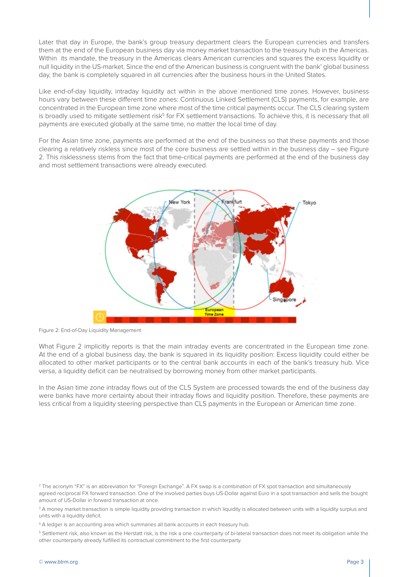Later that day in Europe, the bank's group treasury department clears the European currencies and transfers them at the end of the European business day via money market transaction to the treasury hub in the Americas. Within its mandate, the treasury in the Americas clears American currencies and squares the excess liquidity or null liquidity in the US-market. Since the end of the American business is congruent with the bank' global business day, the bank is completely squared in all currencies after the business hours in the United States.

Like end-of-day liquidity, intraday liquidity act within in the above mentioned time zones. However, business hours vary between these different time zones: Continuous Linked Settlement (CLS) payments, for example, are concentrated in the European time zone where most of the time critical payments occur. The CLS clearing system is broadly used to mitigate settlement risk<sup>5</sup> for FX settlement transactions. To achieve this, it is necessary that all payments are executed globally at the same time, no matter the local time of day.

For the Asian time zone, payments are performed at the end of the business so that these payments and those clearing a relatively riskless since most of the core business are settled within in the business day – see Figure 2. This risklessness stems from the fact that time-critical payments are performed at the end of the business day and most settlement transactions were already executed.



Figure 2: End-of-Day Liquidity Management

What Figure 2 implicitly reports is that the main intraday events are concentrated in the European time zone. At the end of a global business day, the bank is squared in its liquidity position: Excess liquidity could either be allocated to other market participants or to the central bank accounts in each of the bank's treasury hub. Vice versa, a liquidity deficit can be neutralised by borrowing money from other market participants.

In the Asian time zone intraday flows out of the CLS System are processed towards the end of the business day were banks have more certainty about their intraday flows and liquidity position. Therefore, these payments are less critical from a liquidity steering perspective than CLS payments in the European or American time zone.

 $^{\rm 3}$  A money market transaction is simple liquidity providing transaction in which liquidity is allocated between units with a liquidity surplus and units with a liquidity deficit.

<sup>&</sup>lt;sup>2</sup> The acronym "FX" is an abbreviation for "Foreign Exchange". A FX swap is a combination of FX spot transaction and simultaneously agreed reciprocal FX forward transaction. One of the involved parties buys US-Dollar against Euro in a spot transaction and sells the bought amount of US-Dollar in forward transaction at once.

<sup>4</sup> A ledger is an accounting area which summaries all bank accounts in each treasury hub.

<sup>5</sup> Settlement risk, also known as the Herstatt risk, is the risk a one counterparty of bi-lateral transaction does not meet its obligation while the other counterparty already fulfilled its contractual commitment to the first counterparty.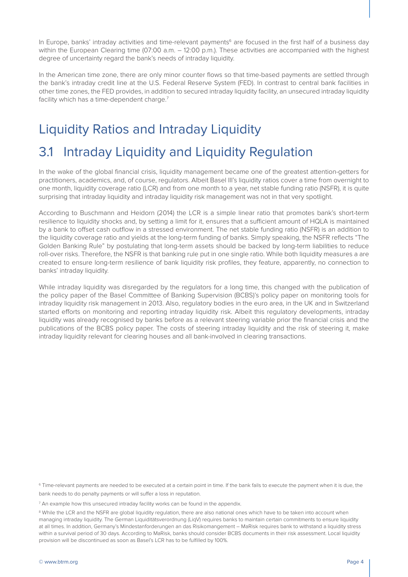In Europe, banks' intraday activities and time-relevant payments<sup>6</sup> are focused in the first half of a business day within the European Clearing time (07:00 a.m. – 12:00 p.m.). These activities are accompanied with the highest degree of uncertainty regard the bank's needs of intraday liquidity.

In the American time zone, there are only minor counter flows so that time-based payments are settled through the bank's intraday credit line at the U.S. Federal Reserve System (FED). In contrast to central bank facilities in other time zones, the FED provides, in addition to secured intraday liquidity facility, an unsecured intraday liquidity facility which has a time-dependent charge.<sup>7</sup>

# Liquidity Ratios and Intraday Liquidity

### 3.1 Intraday Liquidity and Liquidity Regulation

In the wake of the global financial crisis, liquidity management became one of the greatest attention-getters for practitioners, academics, and, of course, regulators. Albeit Basel III's liquidity ratios cover a time from overnight to one month, liquidity coverage ratio (LCR) and from one month to a year, net stable funding ratio (NSFR), it is quite surprising that intraday liquidity and intraday liquidity risk management was not in that very spotlight.

According to Buschmann and Heidorn (2014) the LCR is a simple linear ratio that promotes bank's short-term resilience to liquidity shocks and, by setting a limit for it, ensures that a sufficient amount of HQLA is maintained by a bank to offset cash outflow in a stressed environment. The net stable funding ratio (NSFR) is an addition to the liquidity coverage ratio and yields at the long-term funding of banks. Simply speaking, the NSFR reflects "The Golden Banking Rule" by postulating that long-term assets should be backed by long-term liabilities to reduce roll-over risks. Therefore, the NSFR is that banking rule put in one single ratio. While both liquidity measures a are created to ensure long-term resilience of bank liquidity risk profiles, they feature, apparently, no connection to banks' intraday liquidity.

While intraday liquidity was disregarded by the regulators for a long time, this changed with the publication of the policy paper of the Basel Committee of Banking Supervision (BCBS)'s policy paper on monitoring tools for intraday liquidity risk management in 2013. Also, regulatory bodies in the euro area, in the UK and in Switzerland started efforts on monitoring and reporting intraday liquidity risk. Albeit this regulatory developments, intraday liquidity was already recognised by banks before as a relevant steering variable prior the financial crisis and the publications of the BCBS policy paper. The costs of steering intraday liquidity and the risk of steering it, make intraday liquidity relevant for clearing houses and all bank-involved in clearing transactions.

6 Time-relevant payments are needed to be executed at a certain point in time. If the bank fails to execute the payment when it is due, the bank needs to do penalty payments or will suffer a loss in reputation.

 $^7$  An example how this unsecured intraday facility works can be found in the appendix.

<sup>&</sup>lt;sup>8</sup> While the LCR and the NSFR are global liquidity regulation, there are also national ones which have to be taken into account when managing intraday liquidity. The German Liquiditätsverordnung (LiqV) requires banks to maintain certain commitments to ensure liquidity at all times. In addition, Germany's Mindestanforderungen an das Risikomangement – MaRisk requires bank to withstand a liquidity stress within a survival period of 30 days. According to MaRisk, banks should consider BCBS documents in their risk assessment. Local liquidity provision will be discontinued as soon as Basel's LCR has to be fulfilled by 100%.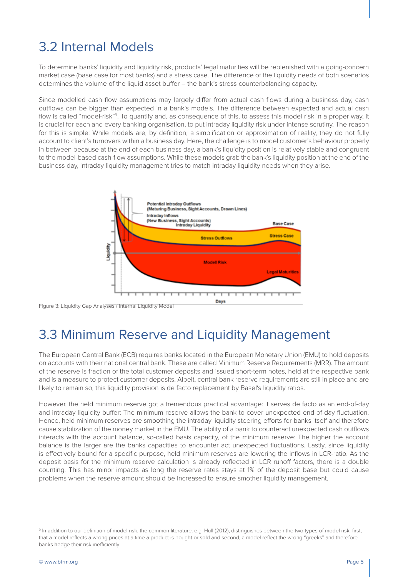# 3.2 Internal Models

To determine banks' liquidity and liquidity risk, products' legal maturities will be replenished with a going-concern market case (base case for most banks) and a stress case. The difference of the liquidity needs of both scenarios determines the volume of the liquid asset buffer – the bank's stress counterbalancing capacity.

Since modelled cash flow assumptions may largely differ from actual cash flows during a business day, cash outflows can be bigger than expected in a bank's models. The difference between expected and actual cash flow is called "model-risk"<sup>9</sup>. To quantify and, as consequence of this, to assess this model risk in a proper way, it is crucial for each and every banking organisation, to put intraday liquidity risk under intense scrutiny. The reason for this is simple: While models are, by definition, a simplification or approximation of reality, they do not fully account to client's turnovers within a business day. Here, the challenge is to model customer's behaviour properly in between because at the end of each business day, a bank's liquidity position is relatively stable and congruent to the model-based cash-flow assumptions. While these models grab the bank's liquidity position at the end of the business day, intraday liquidity management tries to match intraday liquidity needs when they arise.



Figure 3: Liquidity Gap Analyses / Internal Liquidity Model

### 3.3 Minimum Reserve and Liquidity Management

The European Central Bank (ECB) requires banks located in the European Monetary Union (EMU) to hold deposits on accounts with their national central bank. These are called Minimum Reserve Requirements (MRR). The amount of the reserve is fraction of the total customer deposits and issued short-term notes, held at the respective bank and is a measure to protect customer deposits. Albeit, central bank reserve requirements are still in place and are likely to remain so, this liquidity provision is de facto replacement by Basel's liquidity ratios.

However, the held minimum reserve got a tremendous practical advantage: It serves de facto as an end-of-day and intraday liquidity buffer: The minimum reserve allows the bank to cover unexpected end-of-day fluctuation. Hence, held minimum reserves are smoothing the intraday liquidity steering efforts for banks itself and therefore cause stabilization of the money market in the EMU. The ability of a bank to counteract unexpected cash outflows interacts with the account balance, so-called basis capacity, of the minimum reserve: The higher the account balance is the larger are the banks capacities to encounter act unexpected fluctuations. Lastly, since liquidity is effectively bound for a specific purpose, held minimum reserves are lowering the inflows in LCR-ratio. As the deposit basis for the minimum reserve calculation is already reflected in LCR runoff factors, there is a double counting. This has minor impacts as long the reserve rates stays at 1% of the deposit base but could cause problems when the reserve amount should be increased to ensure smother liquidity management.

<sup>&</sup>lt;sup>9</sup> In addition to our definition of model risk, the common literature, e.g. Hull (2012), distinguishes between the two types of model risk; first, that a model reflects a wrong prices at a time a product is bought or sold and second, a model reflect the wrong "greeks" and therefore banks hedge their risk inefficiently.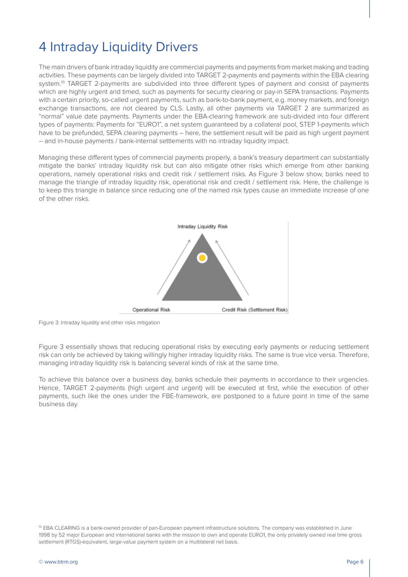# 4 Intraday Liquidity Drivers

The main drivers of bank intraday liquidity are commercial payments and payments from market making and trading activities. These payments can be largely divided into TARGET 2-payments and payments within the EBA clearing system.<sup>10</sup> TARGET 2-payments are subdivided into three different types of payment and consist of payments which are highly urgent and timed, such as payments for security clearing or pay-in SEPA transactions. Payments with a certain priority, so-called urgent payments, such as bank-to-bank payment, e.g. money markets, and foreign exchange transactions, are not cleared by CLS. Lastly, all other payments via TARGET 2 are summarized as "normal" value date payments. Payments under the EBA-clearing framework are sub-divided into four different types of payments: Payments for "EURO1", a net system guaranteed by a collateral pool, STEP 1-payments which have to be prefunded, SEPA clearing payments – here, the settlement result will be paid as high urgent payment – and in-house payments / bank-internal settlements with no intraday liquidity impact.

Managing these different types of commercial payments properly, a bank's treasury department can substantially mitigate the banks' intraday liquidity risk but can also mitigate other risks which emerge from other banking operations, namely operational risks and credit risk / settlement risks. As Figure 3 below show, banks need to manage the triangle of intraday liquidity risk, operational risk and credit / settlement risk. Here, the challenge is to keep this triangle in balance since reducing one of the named risk types cause an immediate increase of one of the other risks.



Figure 3: Intraday liquidity and other risks mitigation

Figure 3 essentially shows that reducing operational risks by executing early payments or reducing settlement risk can only be achieved by taking willingly higher intraday liquidity risks. The same is true vice versa. Therefore, managing intraday liquidity risk is balancing several kinds of risk at the same time.

To achieve this balance over a business day, banks schedule their payments in accordance to their urgencies. Hence, TARGET 2-payments (high urgent and urgent) will be executed at first, while the execution of other payments, such like the ones under the FBE-framework, are postponed to a future point in time of the same business day.

<sup>10</sup> EBA CLEARING is a bank-owned provider of pan-European payment infrastructure solutions. The company was established in June 1998 by 52 major European and international banks with the mission to own and operate EURO1, the only privately owned real time gross settlement (RTGS)-equivalent, large-value payment system on a multilateral net basis.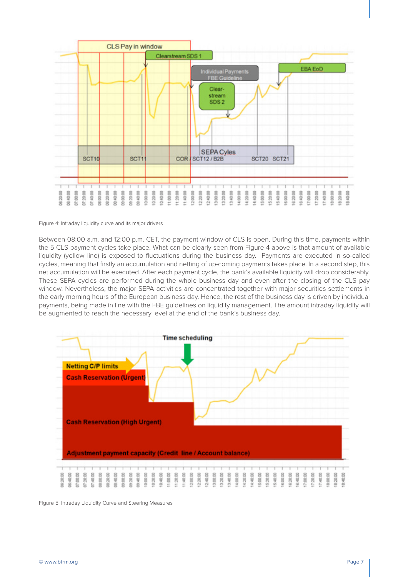

Figure 4: Intraday liquidity curve and its major drivers

Between 08:00 a.m. and 12:00 p.m. CET, the payment window of CLS is open. During this time, payments within the 5 CLS payment cycles take place. What can be clearly seen from Figure 4 above is that amount of available liquidity (yellow line) is exposed to fluctuations during the business day. Payments are executed in so-called cycles, meaning that firstly an accumulation and netting of up-coming payments takes place. In a second step, this net accumulation will be executed. After each payment cycle, the bank's available liquidity will drop considerably. These SEPA cycles are performed during the whole business day and even after the closing of the CLS pay window. Nevertheless, the major SEPA activities are concentrated together with major securities settlements in the early morning hours of the European business day. Hence, the rest of the business day is driven by individual payments, being made in line with the FBE guidelines on liquidity management. The amount intraday liquidity will be augmented to reach the necessary level at the end of the bank's business day.



Figure 5: Intraday Liquidity Curve and Steering Measures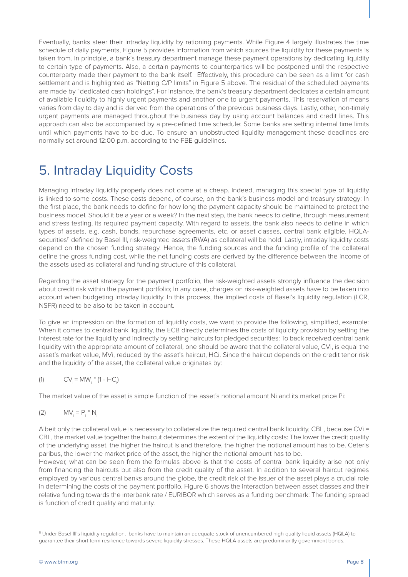Eventually, banks steer their intraday liquidity by rationing payments. While Figure 4 largely illustrates the time schedule of daily payments, Figure 5 provides information from which sources the liquidity for these payments is taken from. In principle, a bank's treasury department manage these payment operations by dedicating liquidity to certain type of payments. Also, a certain payments to counterparties will be postponed until the respective counterparty made their payment to the bank itself. Effectively, this procedure can be seen as a limit for cash settlement and is highlighted as "Netting C/P limits" in Figure 5 above. The residual of the scheduled payments are made by "dedicated cash holdings". For instance, the bank's treasury department dedicates a certain amount of available liquidity to highly urgent payments and another one to urgent payments. This reservation of means varies from day to day and is derived from the operations of the previous business days. Lastly, other, non-timely urgent payments are managed throughout the business day by using account balances and credit lines. This approach can also be accompanied by a pre-defined time schedule: Some banks are setting internal time limits until which payments have to be due. To ensure an unobstructed liquidity management these deadlines are normally set around 12:00 p.m. according to the FBE guidelines.

# 5. Intraday Liquidity Costs

Managing intraday liquidity properly does not come at a cheap. Indeed, managing this special type of liquidity is linked to some costs. These costs depend, of course, on the bank's business model and treasury strategy: In the first place, the bank needs to define for how long the payment capacity should be maintained to protect the business model. Should it be a year or a week? In the next step, the bank needs to define, through measurement and stress testing, its required payment capacity. With regard to assets, the bank also needs to define in which types of assets, e.g. cash, bonds, repurchase agreements, etc. or asset classes, central bank eligible, HQLAsecurities<sup>11</sup> defined by Basel III, risk-weighted assets (RWA) as collateral will be hold. Lastly, intraday liquidity costs depend on the chosen funding strategy. Hence, the funding sources and the funding profile of the collateral define the gross funding cost, while the net funding costs are derived by the difference between the income of the assets used as collateral and funding structure of this collateral.

Regarding the asset strategy for the payment portfolio, the risk-weighted assets strongly influence the decision about credit risk within the payment portfolio; In any case, charges on risk-weighted assets have to be taken into account when budgeting intraday liquidity. In this process, the implied costs of Basel's liquidity regulation (LCR, NSFR) need to be also to be taken in account.

To give an impression on the formation of liquidity costs, we want to provide the following, simplified, example: When it comes to central bank liquidity, the ECB directly determines the costs of liquidity provision by setting the interest rate for the liquidity and indirectly by setting haircuts for pledged securities: To back received central bank liquidity with the appropriate amount of collateral, one should be aware that the collateral value, CVi, is equal the asset's market value, MVi, reduced by the asset's haircut, HCi. Since the haircut depends on the credit tenor risk and the liquidity of the asset, the collateral value originates by:

(1) 
$$
CV_i = MW_i * (1 - HC_i)
$$

The market value of the asset is simple function of the asset's notional amount Ni and its market price Pi:

$$
(2) \qquad \text{MV}_i = P_i * N_i
$$

Albeit only the collateral value is necessary to collateralize the required central bank liquidity, CBL, because CVi = CBL, the market value together the haircut determines the extent of the liquidity costs: The lower the credit quality of the underlying asset, the higher the haircut is and therefore, the higher the notional amount has to be. Ceteris paribus, the lower the market price of the asset, the higher the notional amount has to be.

However, what can be seen from the formulas above is that the costs of central bank liquidity arise not only from financing the haircuts but also from the credit quality of the asset. In addition to several haircut regimes employed by various central banks around the globe, the credit risk of the issuer of the asset plays a crucial role in determining the costs of the payment portfolio. Figure 6 shows the interaction between asset classes and their relative funding towards the interbank rate / EURIBOR which serves as a funding benchmark: The funding spread is function of credit quality and maturity.

11 Under Basel III's liquidity regulation, banks have to maintain an adequate stock of unencumbered high-quality liquid assets (HQLA) to guarantee their short-term resilience towards severe liquidity stresses. These HQLA assets are predominantly government bonds.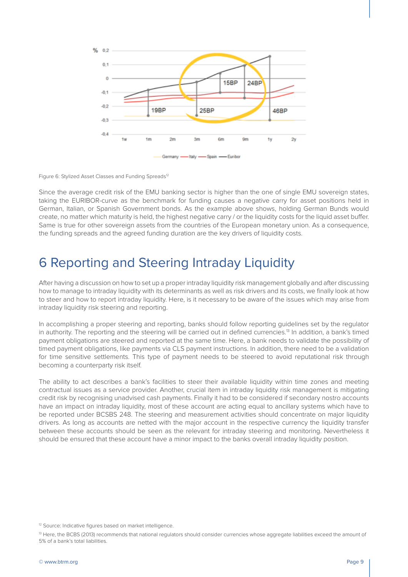

Figure 6: Stylized Asset Classes and Funding Spreads<sup>12</sup>

Since the average credit risk of the EMU banking sector is higher than the one of single EMU sovereign states, taking the EURIBOR-curve as the benchmark for funding causes a negative carry for asset positions held in German, Italian, or Spanish Government bonds. As the example above shows, holding German Bunds would create, no matter which maturity is held, the highest negative carry / or the liquidity costs for the liquid asset buffer. Same is true for other sovereign assets from the countries of the European monetary union. As a consequence, the funding spreads and the agreed funding duration are the key drivers of liquidity costs.

#### 6 Reporting and Steering Intraday Liquidity

After having a discussion on how to set up a proper intraday liquidity risk management globally and after discussing how to manage to intraday liquidity with its determinants as well as risk drivers and its costs, we finally look at how to steer and how to report intraday liquidity. Here, is it necessary to be aware of the issues which may arise from intraday liquidity risk steering and reporting.

In accomplishing a proper steering and reporting, banks should follow reporting guidelines set by the regulator in authority. The reporting and the steering will be carried out in defined currencies.<sup>13</sup> In addition, a bank's timed payment obligations are steered and reported at the same time. Here, a bank needs to validate the possibility of timed payment obligations, like payments via CLS payment instructions. In addition, there need to be a validation for time sensitive settlements. This type of payment needs to be steered to avoid reputational risk through becoming a counterparty risk itself.

The ability to act describes a bank's facilities to steer their available liquidity within time zones and meeting contractual issues as a service provider. Another, crucial item in intraday liquidity risk management is mitigating credit risk by recognising unadvised cash payments. Finally it had to be considered if secondary nostro accounts have an impact on intraday liquidity, most of these account are acting equal to ancillary systems which have to be reported under BCSBS 248. The steering and measurement activities should concentrate on major liquidity drivers. As long as accounts are netted with the major account in the respective currency the liquidity transfer between these accounts should be seen as the relevant for intraday steering and monitoring. Nevertheless it should be ensured that these account have a minor impact to the banks overall intraday liquidity position.

<sup>&</sup>lt;sup>12</sup> Source: Indicative figures based on market intelligence.

<sup>13</sup> Here, the BCBS (2013) recommends that national regulators should consider currencies whose aggregate liabilities exceed the amount of 5% of a bank's total liabilities.